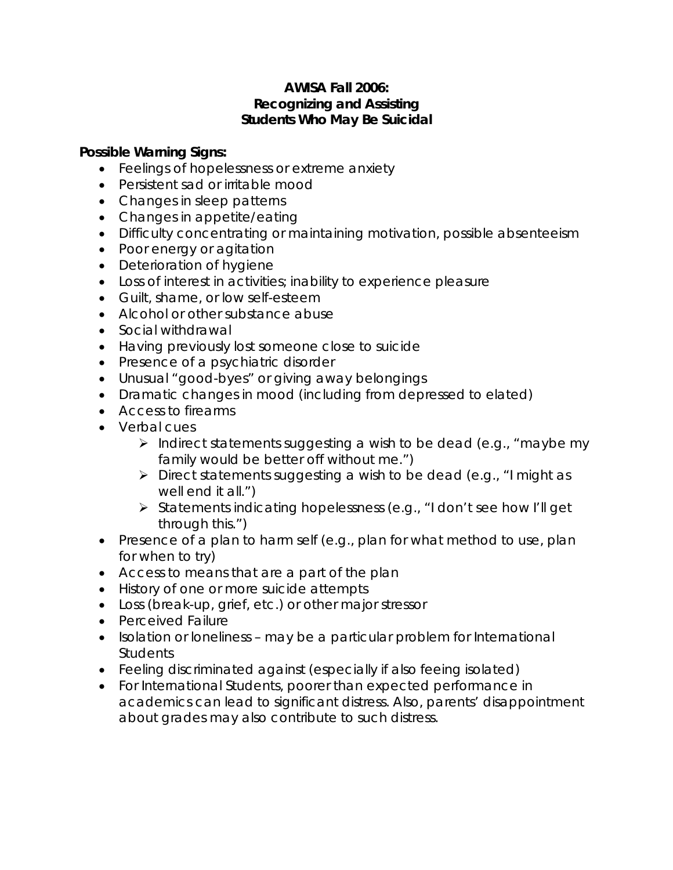## **AWISA Fall 2006: Recognizing and Assisting Students Who May Be Suicidal**

## **Possible Warning Signs:**

- Feelings of hopelessness or extreme anxiety
- Persistent sad or irritable mood
- Changes in sleep patterns
- Changes in appetite/eating
- Difficulty concentrating or maintaining motivation, possible absenteeism
- Poor energy or agitation
- Deterioration of hygiene
- Loss of interest in activities; inability to experience pleasure
- Guilt, shame, or low self-esteem
- Alcohol or other substance abuse
- Social withdrawal
- Having previously lost someone close to suicide
- Presence of a psychiatric disorder
- Unusual "good-byes" or giving away belongings
- Dramatic changes in mood (including from depressed to elated)
- Access to firearms
- Verbal cues
	- $\triangleright$  Indirect statements suggesting a wish to be dead (e.g., "maybe my family would be better off without me.")
	- $\triangleright$  Direct statements suggesting a wish to be dead (e.g., "I might as well end it all.")
	- ¾ Statements indicating hopelessness (e.g., "I don't see how I'll get through this.")
- Presence of a plan to harm self (e.g., plan for what method to use, plan for when to try)
- Access to means that are a part of the plan
- History of one or more suicide attempts
- Loss (break-up, grief, etc.) or other major stressor
- Perceived Failure
- Isolation or loneliness may be a particular problem for International **Students**
- Feeling discriminated against (especially if also feeing isolated)
- For International Students, poorer than expected performance in academics can lead to significant distress. Also, parents' disappointment about grades may also contribute to such distress.